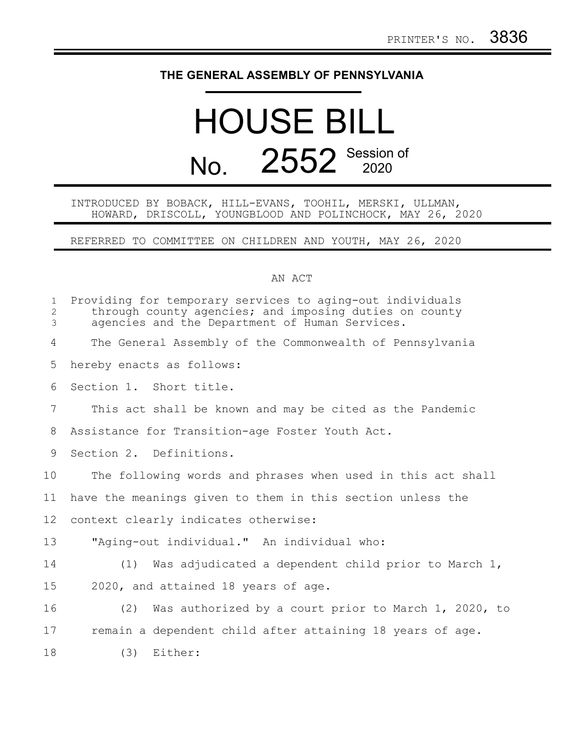## **THE GENERAL ASSEMBLY OF PENNSYLVANIA**

## HOUSE BILL No. 2552 Session of

## INTRODUCED BY BOBACK, HILL-EVANS, TOOHIL, MERSKI, ULLMAN, HOWARD, DRISCOLL, YOUNGBLOOD AND POLINCHOCK, MAY 26, 2020

REFERRED TO COMMITTEE ON CHILDREN AND YOUTH, MAY 26, 2020

## AN ACT

| $\mathbf{1}$<br>$\overline{2}$<br>$\mathfrak{Z}$ | Providing for temporary services to aging-out individuals<br>through county agencies; and imposing duties on county<br>agencies and the Department of Human Services. |
|--------------------------------------------------|-----------------------------------------------------------------------------------------------------------------------------------------------------------------------|
| 4                                                | The General Assembly of the Commonwealth of Pennsylvania                                                                                                              |
| 5                                                | hereby enacts as follows:                                                                                                                                             |
| 6                                                | Section 1. Short title.                                                                                                                                               |
| $7\phantom{.0}$                                  | This act shall be known and may be cited as the Pandemic                                                                                                              |
| 8                                                | Assistance for Transition-age Foster Youth Act.                                                                                                                       |
| 9                                                | Section 2. Definitions.                                                                                                                                               |
| 10                                               | The following words and phrases when used in this act shall                                                                                                           |
| 11                                               | have the meanings given to them in this section unless the                                                                                                            |
| 12                                               | context clearly indicates otherwise:                                                                                                                                  |
| 13                                               | "Aging-out individual." An individual who:                                                                                                                            |
| 14                                               | (1) Was adjudicated a dependent child prior to March 1,                                                                                                               |
| 15                                               | 2020, and attained 18 years of age.                                                                                                                                   |
| 16                                               | Was authorized by a court prior to March 1, 2020, to<br>(2)                                                                                                           |
| 17                                               | remain a dependent child after attaining 18 years of age.                                                                                                             |
| 18                                               | Either:<br>(3)                                                                                                                                                        |
|                                                  |                                                                                                                                                                       |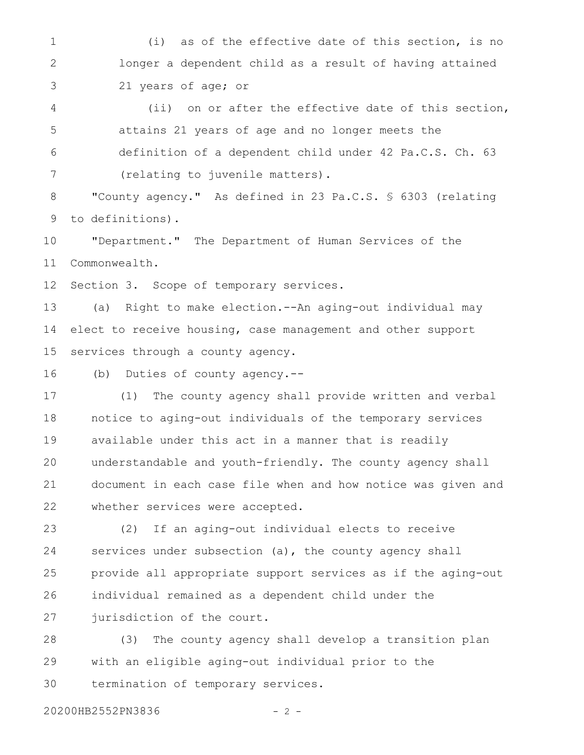(i) as of the effective date of this section, is no longer a dependent child as a result of having attained 21 years of age; or 1 2 3

(ii) on or after the effective date of this section, attains 21 years of age and no longer meets the definition of a dependent child under 42 Pa.C.S. Ch. 63 (relating to juvenile matters). 4 5 6 7

"County agency." As defined in 23 Pa.C.S. § 6303 (relating to definitions). 8 9

"Department." The Department of Human Services of the Commonwealth. 10 11

Section 3. Scope of temporary services. 12

(a) Right to make election.--An aging-out individual may elect to receive housing, case management and other support services through a county agency. 13 14 15

(b) Duties of county agency.-- 16

(1) The county agency shall provide written and verbal notice to aging-out individuals of the temporary services available under this act in a manner that is readily understandable and youth-friendly. The county agency shall document in each case file when and how notice was given and whether services were accepted. 17 18 19 20 21 22

(2) If an aging-out individual elects to receive services under subsection (a), the county agency shall provide all appropriate support services as if the aging-out individual remained as a dependent child under the jurisdiction of the court. 23 24 25 26 27

(3) The county agency shall develop a transition plan with an eligible aging-out individual prior to the termination of temporary services. 28 29 30

20200HB2552PN3836 - 2 -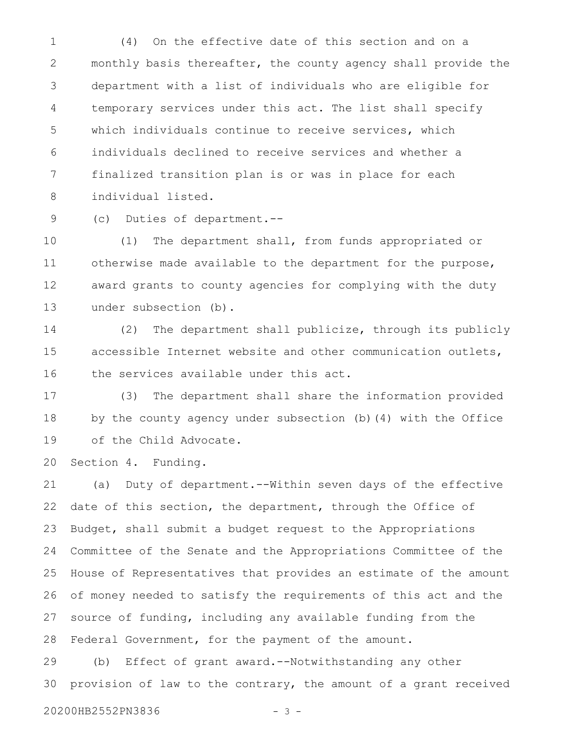(4) On the effective date of this section and on a monthly basis thereafter, the county agency shall provide the department with a list of individuals who are eligible for temporary services under this act. The list shall specify which individuals continue to receive services, which individuals declined to receive services and whether a finalized transition plan is or was in place for each individual listed. 1 2 3 4 5 6 7 8

(c) Duties of department.-- 9

(1) The department shall, from funds appropriated or otherwise made available to the department for the purpose, award grants to county agencies for complying with the duty under subsection (b). 10 11 12 13

(2) The department shall publicize, through its publicly accessible Internet website and other communication outlets, the services available under this act. 14 15 16

(3) The department shall share the information provided by the county agency under subsection (b)(4) with the Office of the Child Advocate. 17 18 19

Section 4. Funding. 20

(a) Duty of department.--Within seven days of the effective date of this section, the department, through the Office of Budget, shall submit a budget request to the Appropriations Committee of the Senate and the Appropriations Committee of the House of Representatives that provides an estimate of the amount of money needed to satisfy the requirements of this act and the source of funding, including any available funding from the Federal Government, for the payment of the amount. 21 22 23 24 25 26 27 28

(b) Effect of grant award.--Notwithstanding any other provision of law to the contrary, the amount of a grant received 29 30

20200HB2552PN3836 - 3 -